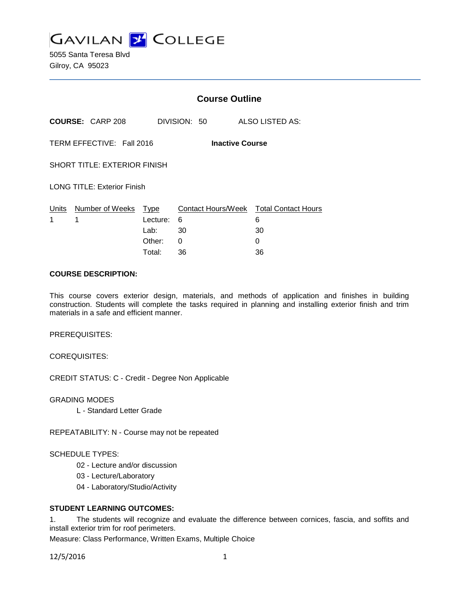

5055 Santa Teresa Blvd Gilroy, CA 95023

|                                                     |                                 | <b>Course Outline</b> |              |                                                   |  |
|-----------------------------------------------------|---------------------------------|-----------------------|--------------|---------------------------------------------------|--|
|                                                     | <b>COURSE: CARP 208</b>         |                       | DIVISION: 50 | ALSO LISTED AS:                                   |  |
| TERM EFFECTIVE: Fall 2016<br><b>Inactive Course</b> |                                 |                       |              |                                                   |  |
| <b>SHORT TITLE: EXTERIOR FINISH</b>                 |                                 |                       |              |                                                   |  |
| <b>LONG TITLE: Exterior Finish</b>                  |                                 |                       |              |                                                   |  |
| 1                                                   | Units Number of Weeks Type<br>1 | Lecture:<br>Lab: 30   | 6            | Contact Hours/Week Total Contact Hours<br>6<br>30 |  |
|                                                     |                                 | Other:<br>Total:      | 0<br>36      | 0<br>36                                           |  |

#### **COURSE DESCRIPTION:**

This course covers exterior design, materials, and methods of application and finishes in building construction. Students will complete the tasks required in planning and installing exterior finish and trim materials in a safe and efficient manner.

PREREQUISITES:

COREQUISITES:

CREDIT STATUS: C - Credit - Degree Non Applicable

GRADING MODES

L - Standard Letter Grade

REPEATABILITY: N - Course may not be repeated

#### SCHEDULE TYPES:

- 02 Lecture and/or discussion
- 03 Lecture/Laboratory
- 04 Laboratory/Studio/Activity

#### **STUDENT LEARNING OUTCOMES:**

1. The students will recognize and evaluate the difference between cornices, fascia, and soffits and install exterior trim for roof perimeters.

Measure: Class Performance, Written Exams, Multiple Choice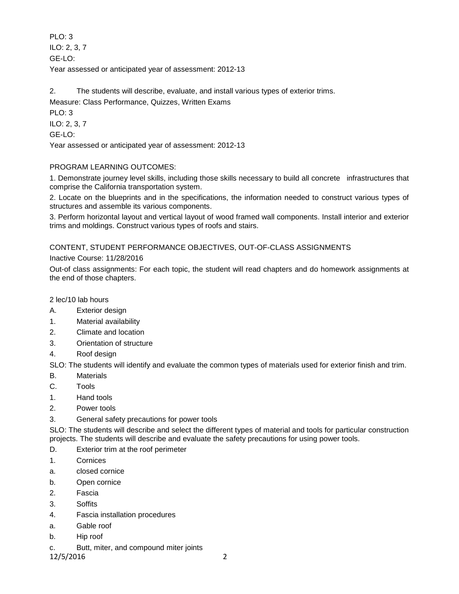PLO: 3 ILO: 2, 3, 7 GE-LO: Year assessed or anticipated year of assessment: 2012-13

2. The students will describe, evaluate, and install various types of exterior trims. Measure: Class Performance, Quizzes, Written Exams PLO: 3 ILO: 2, 3, 7 GE-LO: Year assessed or anticipated year of assessment: 2012-13

# PROGRAM LEARNING OUTCOMES:

1. Demonstrate journey level skills, including those skills necessary to build all concrete infrastructures that comprise the California transportation system.

2. Locate on the blueprints and in the specifications, the information needed to construct various types of structures and assemble its various components.

3. Perform horizontal layout and vertical layout of wood framed wall components. Install interior and exterior trims and moldings. Construct various types of roofs and stairs.

# CONTENT, STUDENT PERFORMANCE OBJECTIVES, OUT-OF-CLASS ASSIGNMENTS

Inactive Course: 11/28/2016

Out-of class assignments: For each topic, the student will read chapters and do homework assignments at the end of those chapters.

2 lec/10 lab hours

- A. Exterior design
- 1. Material availability
- 2. Climate and location
- 3. Orientation of structure
- 4. Roof design

SLO: The students will identify and evaluate the common types of materials used for exterior finish and trim.

- B. Materials
- C. Tools
- 1. Hand tools
- 2. Power tools
- 3. General safety precautions for power tools

SLO: The students will describe and select the different types of material and tools for particular construction projects. The students will describe and evaluate the safety precautions for using power tools.

- D. Exterior trim at the roof perimeter
- 1. Cornices
- a. closed cornice
- b. Open cornice
- 2. Fascia
- 3. Soffits
- 4. Fascia installation procedures
- a. Gable roof
- b. Hip roof
- c. Butt, miter, and compound miter joints

12/5/2016 2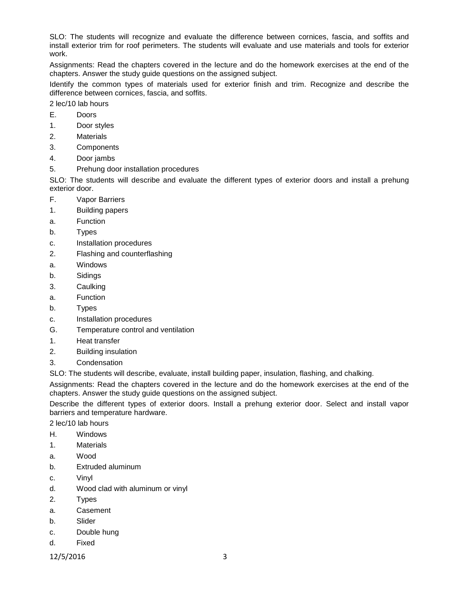SLO: The students will recognize and evaluate the difference between cornices, fascia, and soffits and install exterior trim for roof perimeters. The students will evaluate and use materials and tools for exterior work.

Assignments: Read the chapters covered in the lecture and do the homework exercises at the end of the chapters. Answer the study guide questions on the assigned subject.

Identify the common types of materials used for exterior finish and trim. Recognize and describe the difference between cornices, fascia, and soffits.

2 lec/10 lab hours

- E. Doors
- 1. Door styles
- 2. Materials
- 3. Components
- 4. Door jambs
- 5. Prehung door installation procedures

SLO: The students will describe and evaluate the different types of exterior doors and install a prehung exterior door.

- F. Vapor Barriers
- 1. Building papers
- a. Function
- b. Types
- c. Installation procedures
- 2. Flashing and counterflashing
- a. Windows
- b. Sidings
- 3. Caulking
- a. Function
- b. Types
- c. Installation procedures
- G. Temperature control and ventilation
- 1. Heat transfer
- 2. Building insulation
- 3. Condensation

SLO: The students will describe, evaluate, install building paper, insulation, flashing, and chalking.

Assignments: Read the chapters covered in the lecture and do the homework exercises at the end of the chapters. Answer the study guide questions on the assigned subject.

Describe the different types of exterior doors. Install a prehung exterior door. Select and install vapor barriers and temperature hardware.

2 lec/10 lab hours

- H. Windows
- 1. Materials
- a. Wood
- b. Extruded aluminum
- c. Vinyl
- d. Wood clad with aluminum or vinyl
- 2. Types
- a. Casement
- b. Slider
- c. Double hung
- d. Fixed
- 12/5/2016 3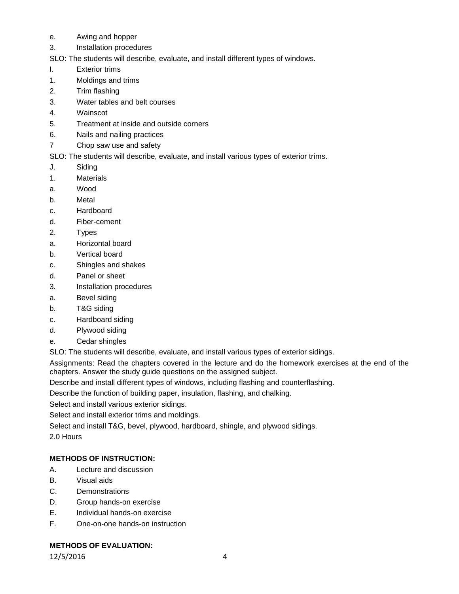- e. Awing and hopper
- 3. Installation procedures
- SLO: The students will describe, evaluate, and install different types of windows.
- I. Exterior trims
- 1. Moldings and trims
- 2. Trim flashing
- 3. Water tables and belt courses
- 4. Wainscot
- 5. Treatment at inside and outside corners
- 6. Nails and nailing practices
- 7 Chop saw use and safety

SLO: The students will describe, evaluate, and install various types of exterior trims.

- J. Siding
- 1. Materials
- a. Wood
- b. Metal
- c. Hardboard
- d. Fiber-cement
- 2. Types
- a. Horizontal board
- b. Vertical board
- c. Shingles and shakes
- d. Panel or sheet
- 3. Installation procedures
- a. Bevel siding
- b. T&G siding
- c. Hardboard siding
- d. Plywood siding
- e. Cedar shingles

SLO: The students will describe, evaluate, and install various types of exterior sidings.

Assignments: Read the chapters covered in the lecture and do the homework exercises at the end of the chapters. Answer the study guide questions on the assigned subject.

Describe and install different types of windows, including flashing and counterflashing.

Describe the function of building paper, insulation, flashing, and chalking.

Select and install various exterior sidings.

Select and install exterior trims and moldings.

Select and install T&G, bevel, plywood, hardboard, shingle, and plywood sidings.

2.0 Hours

## **METHODS OF INSTRUCTION:**

- A. Lecture and discussion
- B. Visual aids
- C. Demonstrations
- D. Group hands-on exercise
- E. Individual hands-on exercise
- F. One-on-one hands-on instruction

## **METHODS OF EVALUATION:**

12/5/2016 4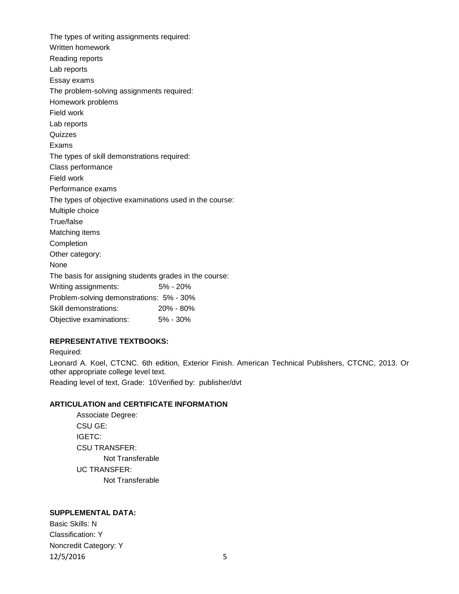The types of writing assignments required: Written homework Reading reports Lab reports Essay exams The problem-solving assignments required: Homework problems Field work Lab reports **Quizzes** Exams The types of skill demonstrations required: Class performance Field work Performance exams The types of objective examinations used in the course: Multiple choice True/false Matching items Completion Other category: None The basis for assigning students grades in the course: Writing assignments: 5% - 20% Problem-solving demonstrations: 5% - 30% Skill demonstrations: 20% - 80% Objective examinations: 5% - 30%

## **REPRESENTATIVE TEXTBOOKS:**

Required: Leonard A. Koel, CTCNC. 6th edition, Exterior Finish. American Technical Publishers, CTCNC, 2013. Or other appropriate college level text. Reading level of text, Grade: 10Verified by: publisher/dvt

## **ARTICULATION and CERTIFICATE INFORMATION**

Associate Degree: CSU GE: IGETC: CSU TRANSFER: Not Transferable UC TRANSFER: Not Transferable

# **SUPPLEMENTAL DATA:**

Basic Skills: N Classification: Y Noncredit Category: Y 12/5/2016 5